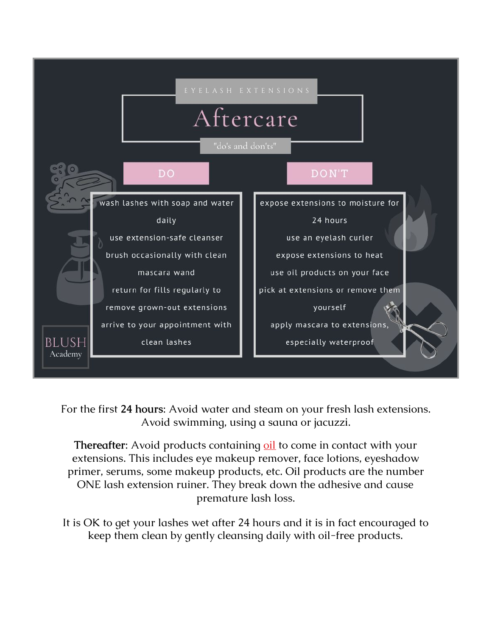

For the first **24 hours**: Avoid water and steam on your fresh lash extensions. Avoid swimming, using a sauna or jacuzzi.

**Thereafter:** Avoid products containing **<u>oil</u>** to come in contact with your extensions. This includes eye makeup remover, face lotions, eyeshadow primer, serums, some makeup products, etc. Oil products are the number ONE lash extension ruiner. They break down the adhesive and cause premature lash loss.

It is OK to get your lashes wet after 24 hours and it is in fact encouraged to keep them clean by gently cleansing daily with oil-free products.